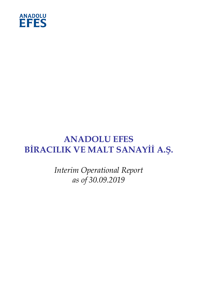

# **ANADOLU EFES BİRACILIK VE MALT SANAYİİ A.Ş.**

*Interim Operational Report as of 30.09.2019*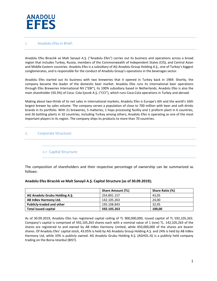

#### 1. Anadolu Efes in Brief:

Anadolu Efes Biracılık ve Malt Sanayii A.Ş. ("Anadolu Efes") carries out its business and operations across a broad region that includes Turkey, Russia, members of the Commonwealth of Independent States (CIS), and Central Asian and Middle Eastern countries. Anadolu Efes is a subsidiary of AG Anadolu Group Holding A.Ş., one of Turkey's biggest conglomerates, and is responsible for the conduct of Anadolu Group's operations in the beverages sector.

Anadolu Efes started out its business with two breweries that it opened in Turkey back in 1969. Shortly, the company became the leader of the domestic beer market. Anadolu Efes runs its international beer operations through Efes Breweries International NV ("EBI"), its 100% subsidiary based in Netherlands. Anadolu Efes is also the main shareholder (50.3%) of Coca- Cola İçecek A.Ş. ("CCI"), which runs Coca-Cola operations in Turkey and abroad.

Making about two-thirds of its net sales in international markets, Anadolu Efes is Europe's 6th and the world's 16th largest brewer by sales volume. The company serves a population of close to 700 million with beer and soft drinks brands in its portfolio. With 21 breweries, 5 malteries, 1 hops processing facility and 1 preform plant in 6 countries, and 26 bottling plants in 10 countries, including Turkey among others, Anadolu Efes is operating as one of the most important players in its region. The company ships its products to more than 70 countries.

#### 2. Corporate Structure:

## 2.1 Capital Structure:

The composition of shareholders and their respective percentage of ownership can be summarized as follows:

#### **Anadolu Efes Biracılık ve Malt Sanayii A.Ş. Capital Structure (as of 30.09.2019);**

|                                  | <b>Share Amount (TL)</b> | Share Ratio (%) |
|----------------------------------|--------------------------|-----------------|
| AG Anadolu Grubu Holding A.S.    | 254.891.157              | 43.05           |
| AB InBev Harmony Ltd.            | 142.105.263              | 24.00           |
| <b>Publicly-traded and other</b> | 195.108.843              | 32.95           |
| <b>Total issued capital</b>      | 592.105.263              | 100.00          |

As of 30.09.2019, Anadolu Efes has registered capital ceiling of TL 900,000,000, issued capital of TL 592,105,263. Company's capital is comprised of 592,105,263 shares each with a nominal value of 1 (one) TL. 142,105,263 of the shares are registered to and owned by AB InBev Harmony Limited, while 450,000,000 of the shares are bearer shares. Of Anadolu Efes' capital stock, 43.05% is held by AG Anadolu Group Holding A.Ş. and 24% is held by AB InBev Harmony Ltd, while 33% is publicly owned. AG Anadolu Grubu Holding A.Ş. (AGHOL.IS) is a publicly held company trading on the Borsa Istanbul (BIST).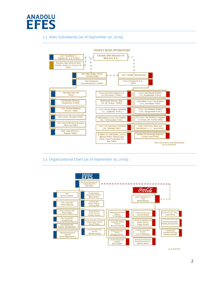

## 2.2 Main Subsidiaries (as of September 30, 2019):



## 2.3 Organizational Chart (as of September 30, 2019):



"as of 30.09.2019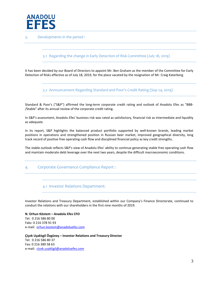

### 3. Developments in the period :

## 3.1 Regarding the change in Early Detection of Risk Committee (July 18, 2019)

It has been decided by our Board of Directors to appoint Mr. Ben Graham as the member of the Committee for Early Detection of Risks effective as of July 18, 2019, for the place vacated by the resignation of Mr. Craig Katerberg.

3.2 Announcement Regarding Standard and Poor's Credit Rating (Sep 24, 2019)

Standard & Poor's ("S&P") affirmed the long-term corporate credit rating and outlook of Anadolu Efes as "BBB- /Stable" after its annual review of the corporate credit rating.

In S&P's assessment, Anadolu Efes' business risk was rated as satisfactory, financial risk as intermediate and liquidity as adequate.

In its report, S&P highlights the balanced product portfolio supported by well-known brands, leading market positions in operations and strengthened position in Russian beer market, improved geographical diversity, long track record of positive free operating cash flow and disciplined financial policy as key credit strengths.

The stable outlook reflects S&P's view of Anadolu Efes' ability to continue generating stable free operating cash flow and maintain moderate debt leverage over the next two years, despite the difficult macroeconomic conditions.

## 4. Corporate Governance Compliance Report :

#### 4.1 Investor Relations Department:

Investor Relations and Treasury Department, established within our Company's Finance Directorate, continued to conduct the relations with our shareholders in the first nine months of 2019.

**N. Orhun Köstem – Anadolu Efes CFO** Tel: 0 216 586 80 00 Faks: 0 216 378 91 93 e-mail: [orhun.kostem@anadoluefes.com](mailto:orhun.kostem@anadoluefes.com)

**Çiçek Uşaklıgil Özgüneş – Investor Relations and Treasury Director** Tel: 0 216 586 80 37 Fax: 0 216 389 58 63 e-mail: [cicek.usakligil@anadoluefes.com](mailto:cicek.usakligil@anadoluefes.com)